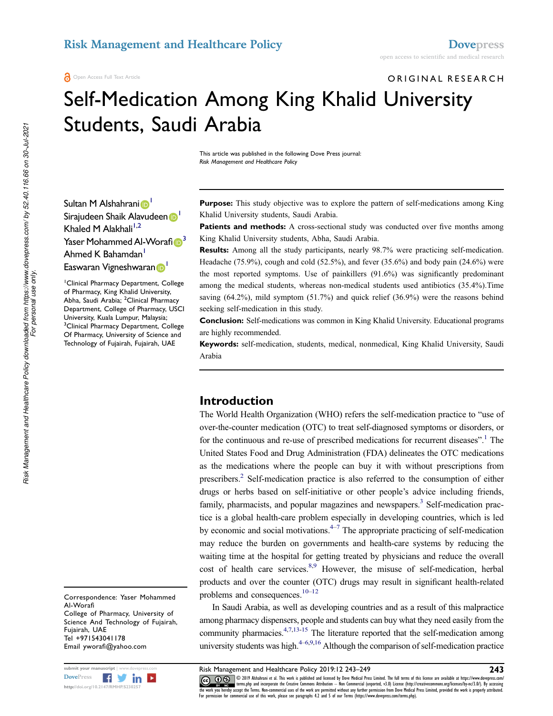# ORIGINAL RESEARCH Self-Medication Among King Khalid University

Students, Saudi Arabia

This article was published in the following Dove Press journal: Risk Management and Healthcare Policy

Sultan M Alshahrani D Sirajudeen Shaik Alavudeen D Khaled M Alakhali<sup>1,2</sup> Yaser Mohammed Al-Worafi $\boldsymbol{\mathbb{\Theta}}^3$ Ahmed K Bahamdan<sup>1</sup> Easwaran Vigneshwaran D<sup>1</sup>

<sup>1</sup>Clinical Pharmacy Department, College of Pharmacy, King Khalid University, Abha, Saudi Arabia; <sup>2</sup>Clinical Pharmacy Department, College of Pharmacy, USCI University, Kuala Lumpur, Malaysia; <sup>3</sup>Clinical Pharmacy Department, College Of Pharmacy, University of Science and Technology of Fujairah, Fujairah, UAE

Correspondence: Yaser Mohammed Al-Worafi College of Pharmacy, University of Science And Technology of Fujairah, Fujairah, UAE Tel +971543041178 Email yworafi@yahoo.com



*Risk Management and Healthcare Policy downloaded from https://www.dovepress.com/ by 52.40.116.66 on 30-Jul-2021*

Purpose: This study objective was to explore the pattern of self-medications among King Khalid University students, Saudi Arabia.

**Patients and methods:** A cross-sectional study was conducted over five months among King Khalid University students, Abha, Saudi Arabia.

Results: Among all the study participants, nearly 98.7% were practicing self-medication. Headache (75.9%), cough and cold (52.5%), and fever (35.6%) and body pain (24.6%) were the most reported symptoms. Use of painkillers (91.6%) was significantly predominant among the medical students, whereas non-medical students used antibiotics (35.4%).Time saving (64.2%), mild symptom (51.7%) and quick relief (36.9%) were the reasons behind seeking self-medication in this study.

Conclusion: Self-medications was common in King Khalid University. Educational programs are highly recommended.

Keywords: self-medication, students, medical, nonmedical, King Khalid University, Saudi Arabia

### Introduction

The World Health Organization (WHO) refers the self-medication practice to "use of over-the-counter medication (OTC) to treat self-diagnosed symptoms or disorders, or for the continuous and re-use of prescribed medications for recurrent diseases".<sup>1</sup> The United States Food and Drug Administration (FDA) delineates the OTC medications as the medications where the people can buy it with without prescriptions from prescribers.<sup>2</sup> Self-medication practice is also referred to the consumption of either drugs or herbs based on self-initiative or other people's advice including friends, family, pharmacists, and popular magazines and newspapers.<sup>3</sup> Self-medication practice is a global health-care problem especially in developing countries, which is led by economic and social motivations.<sup>4–7</sup> The appropriate practicing of self-medication may reduce the burden on governments and health-care systems by reducing the waiting time at the hospital for getting treated by physicians and reduce the overall cost of health care services.<sup>8,9</sup> However, the misuse of self-medication, herbal products and over the counter (OTC) drugs may result in significant health-related problems and consequences.10–<sup>12</sup>

In Saudi Arabia, as well as developing countries and as a result of this malpractice among pharmacy dispensers, people and students can buy what they need easily from the community pharmacies. $4,7,13-15$  The literature reported that the self-medication among university students was high. $4-6,9,16$  Although the comparison of self-medication practice

submit your manuscript | www.dovepress.com Risk Management and Healthcare Policy 2019:12 243-249 243 CC **D** S 2019 Alshahrani et al. This work is published and licensed by Dove Medical Press Limited. The full terms of this license are available at https://www.dovepress.com/ EV NOTE THE REPOSED FOR A Incorporate the Creative Commons Attribution - Non Commercial (unported, v3.0) License (http://creativecommons.org/licenses/by-nc/3.0/). By accessing<br>the work you hereby accept the Terms. Non-comm For permission for commercial use of this work, please see paragraphs 4.2 and 5 of our Terms (https://www.dovepress.com/terms.php).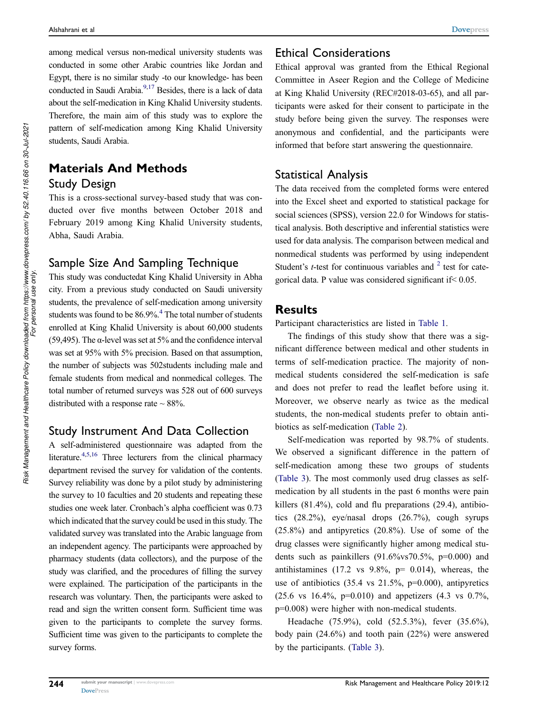among medical versus non-medical university students was conducted in some other Arabic countries like Jordan and Egypt, there is no similar study -to our knowledge- has been conducted in Saudi Arabia.<sup>9,17</sup> Besides, there is a lack of data about the self-medication in King Khalid University students. Therefore, the main aim of this study was to explore the pattern of self-medication among King Khalid University students, Saudi Arabia.

# Materials And Methods Study Design

This is a cross-sectional survey-based study that was conducted over five months between October 2018 and February 2019 among King Khalid University students, Abha, Saudi Arabia.

### Sample Size And Sampling Technique

This study was conductedat King Khalid University in Abha city. From a previous study conducted on Saudi university students, the prevalence of self-medication among university students was found to be 86.9%.<sup>4</sup> The total number of students enrolled at King Khalid University is about 60,000 students (59,495). The  $\alpha$ -level was set at 5% and the confidence interval was set at 95% with 5% precision. Based on that assumption, the number of subjects was 502students including male and female students from medical and nonmedical colleges. The total number of returned surveys was 528 out of 600 surveys distributed with a response rate  $\sim$  88%.

#### Study Instrument And Data Collection

A self-administered questionnaire was adapted from the literature.<sup>4,5,16</sup> Three lecturers from the clinical pharmacy department revised the survey for validation of the contents. Survey reliability was done by a pilot study by administering the survey to 10 faculties and 20 students and repeating these studies one week later. Cronbach's alpha coefficient was 0.73 which indicated that the survey could be used in this study. The validated survey was translated into the Arabic language from an independent agency. The participants were approached by pharmacy students (data collectors), and the purpose of the study was clarified, and the procedures of filling the survey were explained. The participation of the participants in the research was voluntary. Then, the participants were asked to read and sign the written consent form. Sufficient time was given to the participants to complete the survey forms. Sufficient time was given to the participants to complete the survey forms.

### Ethical Considerations

Ethical approval was granted from the Ethical Regional Committee in Aseer Region and the College of Medicine at King Khalid University (REC#2018-03-65), and all participants were asked for their consent to participate in the study before being given the survey. The responses were anonymous and confidential, and the participants were informed that before start answering the questionnaire.

### Statistical Analysis

The data received from the completed forms were entered into the Excel sheet and exported to statistical package for social sciences (SPSS), version 22.0 for Windows for statistical analysis. Both descriptive and inferential statistics were used for data analysis. The comparison between medical and nonmedical students was performed by using independent Student's *t*-test for continuous variables and  $2$  test for categorical data. P value was considered significant if< 0.05.

#### **Results**

Participant characteristics are listed in Table 1.

The findings of this study show that there was a significant difference between medical and other students in terms of self-medication practice. The majority of nonmedical students considered the self-medication is safe and does not prefer to read the leaflet before using it. Moreover, we observe nearly as twice as the medical students, the non-medical students prefer to obtain antibiotics as self-medication (Table 2).

Self-medication was reported by 98.7% of students. We observed a significant difference in the pattern of self-medication among these two groups of students (Table 3). The most commonly used drug classes as selfmedication by all students in the past 6 months were pain killers (81.4%), cold and flu preparations (29.4), antibiotics (28.2%), eye/nasal drops (26.7%), cough syrups (25.8%) and antipyretics (20.8%). Use of some of the drug classes were significantly higher among medical students such as painkillers  $(91.6\% \text{vs} 70.5\% , p=0.000)$  and antihistamines (17.2 vs  $9.8\%$ , p= 0.014), whereas, the use of antibiotics  $(35.4 \text{ vs } 21.5\%, \text{ p=0.000}),$  antipyretics (25.6 vs 16.4%, p=0.010) and appetizers (4.3 vs 0.7%, p=0.008) were higher with non-medical students.

Headache (75.9%), cold (52.5.3%), fever (35.6%), body pain (24.6%) and tooth pain (22%) were answered by the participants. (Table 3).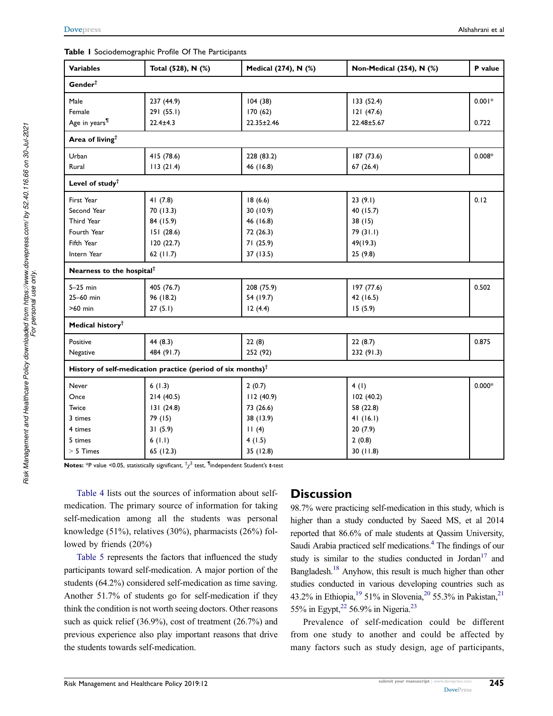#### Table 1 Sociodemographic Profile Of The Participants

| <b>Variables</b>                      | Total (528), N (%)                                             | Medical (274), N (%) | Non-Medical (254), N (%) | P value  |  |  |
|---------------------------------------|----------------------------------------------------------------|----------------------|--------------------------|----------|--|--|
| Gender <sup>†</sup>                   |                                                                |                      |                          |          |  |  |
| Male                                  | 237 (44.9)                                                     | 104(38)              | 133(52.4)                | $0.001*$ |  |  |
| Female                                | 291 (55.1)                                                     | 170(62)              | 121(47.6)                |          |  |  |
| Age in years <sup>¶</sup>             | $22.4 \pm 4.3$                                                 | $22.35 \pm 2.46$     | 22.48±5.67               | 0.722    |  |  |
| Area of living <sup>†</sup>           |                                                                |                      |                          |          |  |  |
| Urban                                 | 415 (78.6)                                                     | 228 (83.2)           | 187 (73.6)               | $0.008*$ |  |  |
| Rural                                 | 113(21.4)                                                      | 46 (16.8)            | 67(26.4)                 |          |  |  |
| Level of study <sup>†</sup>           |                                                                |                      |                          |          |  |  |
| First Year                            | 41 $(7.8)$                                                     | 18(6.6)              | 23(9.1)                  | 0.12     |  |  |
| Second Year                           | 70 (13.3)                                                      | 30 (10.9)            | 40 (15.7)                |          |  |  |
| Third Year                            | 84 (15.9)                                                      | 46 (16.8)            | 38(15)                   |          |  |  |
| Fourth Year                           | 151(28.6)                                                      | 72 (26.3)            | 79 (31.1)                |          |  |  |
| Fifth Year                            | 120(22.7)                                                      | 71 (25.9)            | 49(19.3)                 |          |  |  |
| Intern Year                           | 62 $(11.7)$                                                    | 37 (13.5)            | 25(9.8)                  |          |  |  |
| Nearness to the hospital <sup>†</sup> |                                                                |                      |                          |          |  |  |
| $5-25$ min                            | 405 (76.7)                                                     | 208 (75.9)           | 197 (77.6)               | 0.502    |  |  |
| 25-60 min                             | 96 (18.2)                                                      | 54 (19.7)            | 42 (16.5)                |          |  |  |
| >60 min                               | 27(5.1)                                                        | 12(4.4)              | 15(5.9)                  |          |  |  |
| Medical history <sup>†</sup>          |                                                                |                      |                          |          |  |  |
| Positive                              | 44 (8.3)                                                       | 22(8)                | 22(8.7)                  | 0.875    |  |  |
| Negative                              | 484 (91.7)                                                     | 252 (92)             | 232 (91.3)               |          |  |  |
|                                       | History of self-medication practice (period of six months) $†$ |                      |                          |          |  |  |
| Never                                 | 6(1.3)                                                         | 2(0.7)               | 4(1)                     | $0.000*$ |  |  |
| Once                                  | 214(40.5)                                                      | 112 (40.9)           | 102 (40.2)               |          |  |  |
| Twice                                 | 131(24.8)                                                      | 73 (26.6)            | 58 (22.8)                |          |  |  |
| 3 times                               | 79 (15)                                                        | 38 (13.9)            | 41(16.1)                 |          |  |  |
| 4 times                               | 31(5.9)                                                        | 11(4)                | 20(7.9)                  |          |  |  |
| 5 times                               | 6(1.1)                                                         | 4(1.5)               | 2(0.8)                   |          |  |  |
| $> 5$ Times                           | 65 (12.3)                                                      | 35 (12.8)            | 30(11.8)                 |          |  |  |

<code>Notes:</code> \*P value <0.05, statistically significant,  $^\dagger \chi^2$  test,  $^\textsf{fl}$ independent Student's  $\texttt{t-test}$ 

Table 4 lists out the sources of information about selfmedication. The primary source of information for taking self-medication among all the students was personal knowledge (51%), relatives (30%), pharmacists (26%) followed by friends (20%)

Table 5 represents the factors that influenced the study participants toward self-medication. A major portion of the students (64.2%) considered self-medication as time saving. Another 51.7% of students go for self-medication if they think the condition is not worth seeing doctors. Other reasons such as quick relief (36.9%), cost of treatment (26.7%) and previous experience also play important reasons that drive the students towards self-medication.

### **Discussion**

98.7% were practicing self-medication in this study, which is higher than a study conducted by Saeed MS, et al 2014 reported that 86.6% of male students at Qassim University, Saudi Arabia practiced self medications.<sup>4</sup> The findings of our study is similar to the studies conducted in Jordan<sup>17</sup> and Bangladesh.<sup>18</sup> Anyhow, this result is much higher than other studies conducted in various developing countries such as 43.2% in Ethiopia,<sup>19</sup> 51% in Slovenia,<sup>20</sup> 55.3% in Pakistan,<sup>21</sup> 55% in Egypt,<sup>22</sup> 56.9% in Nigeria.<sup>23</sup>

Prevalence of self-medication could be different from one study to another and could be affected by many factors such as study design, age of participants,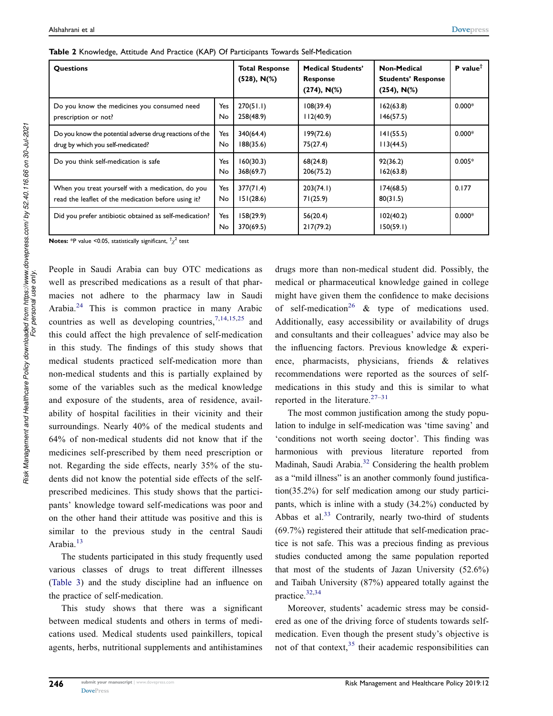| <b>Questions</b>                                        |                  | <b>Total Response</b><br>$(528)$ , N $(\%)$ | <b>Medical Students'</b><br><b>Response</b><br>$(274)$ , N $(\%)$ | <b>Non-Medical</b><br><b>Students' Response</b><br>$(254)$ , N $(\%)$ | <b>P</b> value <sup><math>\dagger</math></sup> |
|---------------------------------------------------------|------------------|---------------------------------------------|-------------------------------------------------------------------|-----------------------------------------------------------------------|------------------------------------------------|
| Do you know the medicines you consumed need             | Yes              | 270(51.1)                                   | 108(39.4)                                                         | 162(63.8)                                                             | $0.000*$                                       |
| prescription or not?                                    | <b>No</b>        | 258(48.9)                                   | 112(40.9)                                                         | 146(57.5)                                                             |                                                |
| Do you know the potential adverse drug reactions of the | Yes              | 340(64.4)                                   | 199(72.6)                                                         | 141(55.5)                                                             | $0.000*$                                       |
| drug by which you self-medicated?                       | No.              | 188(35.6)                                   | 75(27.4)                                                          | 113(44.5)                                                             |                                                |
| Do you think self-medication is safe                    | Yes<br><b>No</b> | 160(30.3)<br>368(69.7)                      | 68(24.8)<br>206(75.2)                                             | 92(36.2)<br>162(63.8)                                                 | $0.005*$                                       |
| When you treat yourself with a medication, do you       | Yes              | 377(71.4)                                   | 203(74.1)                                                         | 174(68.5)                                                             | 0.177                                          |
| read the leaflet of the medication before using it?     | No               | 151(28.6)                                   | 71(25.9)                                                          | 80(31.5)                                                              |                                                |
| Did you prefer antibiotic obtained as self-medication?  | Yes<br>No        | 158(29.9)<br>370(69.5)                      | 56(20.4)<br>217(79.2)                                             | 102(40.2)<br>150(59.1)                                                | $0.000*$                                       |

**Notes:** \*P value <0.05, statistically significant,  $^{\dagger}\chi^{2}$  test

People in Saudi Arabia can buy OTC medications as well as prescribed medications as a result of that pharmacies not adhere to the pharmacy law in Saudi Arabia.<sup>24</sup> This is common practice in many Arabic countries as well as developing countries,  $7,14,15,25$  and this could affect the high prevalence of self-medication in this study. The findings of this study shows that medical students practiced self-medication more than non-medical students and this is partially explained by some of the variables such as the medical knowledge and exposure of the students, area of residence, availability of hospital facilities in their vicinity and their surroundings. Nearly 40% of the medical students and 64% of non-medical students did not know that if the medicines self-prescribed by them need prescription or not. Regarding the side effects, nearly 35% of the students did not know the potential side effects of the selfprescribed medicines. This study shows that the participants' knowledge toward self-medications was poor and on the other hand their attitude was positive and this is similar to the previous study in the central Saudi Arabia.<sup>13</sup>

The students participated in this study frequently used various classes of drugs to treat different illnesses (Table 3) and the study discipline had an influence on the practice of self-medication.

This study shows that there was a significant between medical students and others in terms of medications used. Medical students used painkillers, topical agents, herbs, nutritional supplements and antihistamines drugs more than non-medical student did. Possibly, the medical or pharmaceutical knowledge gained in college might have given them the confidence to make decisions of self-medication<sup>26</sup> & type of medications used. Additionally, easy accessibility or availability of drugs and consultants and their colleagues' advice may also be the influencing factors. Previous knowledge & experience, pharmacists, physicians, friends & relatives recommendations were reported as the sources of selfmedications in this study and this is similar to what reported in the literature.<sup>27–31</sup>

The most common justification among the study population to indulge in self-medication was 'time saving' and 'conditions not worth seeing doctor'. This finding was harmonious with previous literature reported from Madinah, Saudi Arabia.<sup>32</sup> Considering the health problem as a "mild illness" is an another commonly found justification(35.2%) for self medication among our study participants, which is inline with a study (34.2%) conducted by Abbas et al.<sup>33</sup> Contrarily, nearly two-third of students (69.7%) registered their attitude that self-medication practice is not safe. This was a precious finding as previous studies conducted among the same population reported that most of the students of Jazan University (52.6%) and Taibah University (87%) appeared totally against the practice.32,34

Moreover, students' academic stress may be considered as one of the driving force of students towards selfmedication. Even though the present study's objective is not of that context, $35$  their academic responsibilities can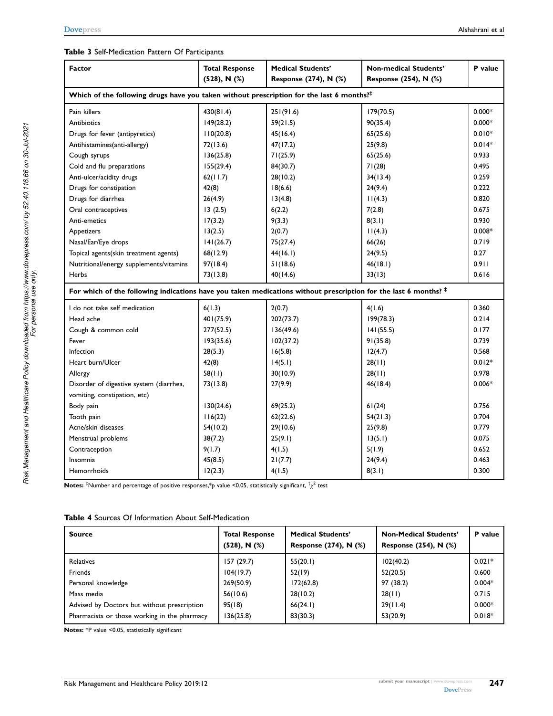#### Table 3 Self-Medication Pattern Of Participants

| <b>Factor</b>                                                                                                            | <b>Total Response</b> | <b>Medical Students'</b> | Non-medical Students' | P value  |  |  |
|--------------------------------------------------------------------------------------------------------------------------|-----------------------|--------------------------|-----------------------|----------|--|--|
|                                                                                                                          | $(528)$ , N $(%)$     | Response (274), N (%)    | Response (254), N (%) |          |  |  |
| Which of the following drugs have you taken without prescription for the last 6 months? $\ddagger$                       |                       |                          |                       |          |  |  |
| Pain killers                                                                                                             | 430(81.4)             | 251(91.6)                | 179(70.5)             | $0.000*$ |  |  |
| Antibiotics                                                                                                              | 149(28.2)             | 59(21.5)                 | 90(35.4)              | $0.000*$ |  |  |
| Drugs for fever (antipyretics)                                                                                           | 110(20.8)             | 45(16.4)                 | 65(25.6)              | $0.010*$ |  |  |
| Antihistamines(anti-allergy)                                                                                             | 72(13.6)              | 47(17.2)                 | 25(9.8)               | $0.014*$ |  |  |
| Cough syrups                                                                                                             | 136(25.8)             | 71(25.9)                 | 65(25.6)              | 0.933    |  |  |
| Cold and flu preparations                                                                                                | 155(29.4)             | 84(30.7)                 | 71(28)                | 0.495    |  |  |
| Anti-ulcer/acidity drugs                                                                                                 | 62(11.7)              | 28(10.2)                 | 34(13.4)              | 0.259    |  |  |
| Drugs for constipation                                                                                                   | 42(8)                 | 18(6.6)                  | 24(9.4)               | 0.222    |  |  |
| Drugs for diarrhea                                                                                                       | 26(4.9)               | 13(4.8)                  | 11(4.3)               | 0.820    |  |  |
| Oral contraceptives                                                                                                      | 13(2.5)               | 6(2.2)                   | 7(2.8)                | 0.675    |  |  |
| Anti-emetics                                                                                                             | 17(3.2)               | 9(3.3)                   | 8(3.1)                | 0.930    |  |  |
| Appetizers                                                                                                               | 13(2.5)               | 2(0.7)                   | 11(4.3)               | $0.008*$ |  |  |
| Nasal/Ear/Eye drops                                                                                                      | 141(26.7)             | 75(27.4)                 | 66(26)                | 0.719    |  |  |
| Topical agents(skin treatment agents)                                                                                    | 68(12.9)              | 44(16.1)                 | 24(9.5)               | 0.27     |  |  |
| Nutritional/energy supplements/vitamins                                                                                  | 97(18.4)              | 51(18.6)                 | 46(18.1)              | 0.911    |  |  |
| Herbs                                                                                                                    | 73(13.8)              | 40(14.6)                 | 33(13)                | 0.616    |  |  |
| For which of the following indications have you taken medications without prescription for the last 6 months? $\ddagger$ |                       |                          |                       |          |  |  |
| I do not take self medication                                                                                            | 6(1.3)                | 2(0.7)                   | 4(1.6)                | 0.360    |  |  |
| Head ache                                                                                                                | 401(75.9)             | 202(73.7)                | 199(78.3)             | 0.214    |  |  |
| Cough & common cold                                                                                                      | 277(52.5)             | 136(49.6)                | 141(55.5)             | 0.177    |  |  |
| Fever                                                                                                                    | 193(35.6)             | 102(37.2)                | 91(35.8)              | 0.739    |  |  |
| Infection                                                                                                                | 28(5.3)               | 16(5.8)                  | 12(4.7)               | 0.568    |  |  |
| Heart burn/Ulcer                                                                                                         | 42(8)                 | 14(5.1)                  | 28(11)                | $0.012*$ |  |  |
| Allergy                                                                                                                  | 58(11)                | 30(10.9)                 | 28(11)                | 0.978    |  |  |
| Disorder of digestive system (diarrhea,                                                                                  | 73(13.8)              | 27(9.9)                  | 46(18.4)              | $0.006*$ |  |  |
| vomiting, constipation, etc)                                                                                             |                       |                          |                       |          |  |  |
| Body pain                                                                                                                | 130(24.6)             | 69(25.2)                 | 61(24)                | 0.756    |  |  |
| Tooth pain                                                                                                               | 116(22)               | 62(22.6)                 | 54(21.3)              | 0.704    |  |  |
| Acne/skin diseases                                                                                                       | 54(10.2)              | 29(10.6)                 | 25(9.8)               | 0.779    |  |  |
| Menstrual problems                                                                                                       | 38(7.2)               | 25(9.1)                  | 13(5.1)               | 0.075    |  |  |
| Contraception                                                                                                            | 9(1.7)                | 4(1.5)                   | 5(1.9)                | 0.652    |  |  |
| Insomnia                                                                                                                 | 45(8.5)               | 21(7.7)                  | 24(9.4)               | 0.463    |  |  |
| Hemorrhoids                                                                                                              | 12(2.3)               | 4(1.5)                   | 8(3.1)                | 0.300    |  |  |

<code>Notes:</code>  $^{\ddagger}$ Number and percentage of positive responses, $^*$ p value <0.05, statistically significant,  $^{\dagger}\chi^2$  test

| <b>Table 4 Sources Of Information About Self-Medication</b> |  |
|-------------------------------------------------------------|--|
|-------------------------------------------------------------|--|

| <b>Source</b>                                | <b>Total Response</b><br>$(528)$ , N $(%)$ | <b>Medical Students'</b><br>Response (274), N (%) | <b>Non-Medical Students'</b><br>Response (254), N (%) | P value  |
|----------------------------------------------|--------------------------------------------|---------------------------------------------------|-------------------------------------------------------|----------|
| <b>Relatives</b>                             | 157 (29.7)                                 | 55(20.1)                                          | 102(40.2)                                             | $0.021*$ |
| Friends                                      | 104(19.7)                                  | 52(19)                                            | 52(20.5)                                              | 0.600    |
| Personal knowledge                           | 269(50.9)                                  | 172(62.8)                                         | 97 (38.2)                                             | $0.004*$ |
| Mass media                                   | 56(10.6)                                   | 28(10.2)                                          | 28(11)                                                | 0.715    |
| Advised by Doctors but without prescription  | 95(18)                                     | 66(24.1)                                          | 29(11.4)                                              | $0.000*$ |
| Pharmacists or those working in the pharmacy | 136(25.8)                                  | 83(30.3)                                          | 53(20.9)                                              | $0.018*$ |

Notes: \*P value <0.05, statistically significant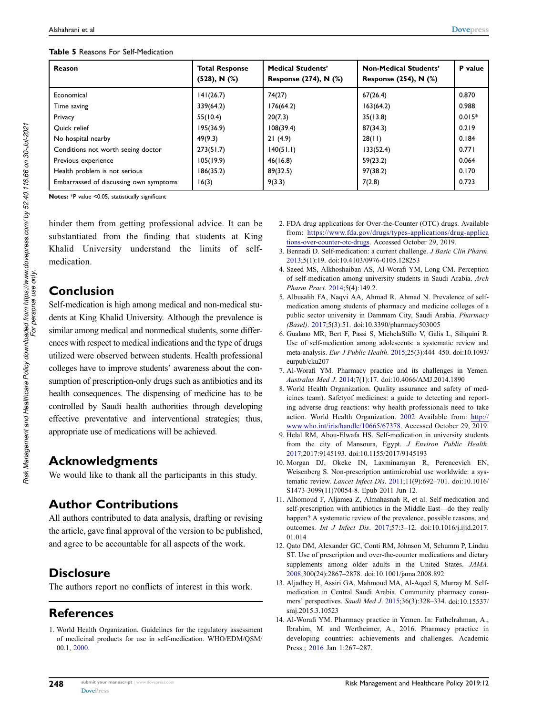| Reason                                 | <b>Total Response</b><br>$(528)$ , N $(%)$ | <b>Medical Students'</b><br><b>Response (274), N (%)</b> | <b>Non-Medical Students'</b><br>Response (254), N (%) | P value  |
|----------------------------------------|--------------------------------------------|----------------------------------------------------------|-------------------------------------------------------|----------|
| Economical                             | 141(26.7)                                  | 74(27)                                                   | 67(26.4)                                              | 0.870    |
| Time saving                            | 339(64.2)                                  | 176(64.2)                                                | 163(64.2)                                             | 0.988    |
| Privacy                                | 55(10.4)                                   | 20(7.3)                                                  | 35(13.8)                                              | $0.015*$ |
| Ouick relief                           | 195(36.9)                                  | 108(39.4)                                                | 87(34.3)                                              | 0.219    |
| No hospital nearby                     | 49(9.3)                                    | 21(4.9)                                                  | 28(11)                                                | 0.184    |
| Conditions not worth seeing doctor     | 273(51.7)                                  | 140(51.1)                                                | 133(52.4)                                             | 0.771    |
| Previous experience                    | 105(19.9)                                  | 46(16.8)                                                 | 59(23.2)                                              | 0.064    |
| Health problem is not serious          | 186(35.2)                                  | 89(32.5)                                                 | 97(38.2)                                              | 0.170    |
| Embarrassed of discussing own symptoms | 16(3)                                      | 9(3.3)                                                   | 7(2.8)                                                | 0.723    |

Notes: \*P value <0.05, statistically significant

hinder them from getting professional advice. It can be substantiated from the finding that students at King Khalid University understand the limits of selfmedication.

# Conclusion

Self-medication is high among medical and non-medical students at King Khalid University. Although the prevalence is similar among medical and nonmedical students, some differences with respect to medical indications and the type of drugs utilized were observed between students. Health professional colleges have to improve students' awareness about the consumption of prescription-only drugs such as antibiotics and its health consequences. The dispensing of medicine has to be controlled by Saudi health authorities through developing effective preventative and interventional strategies; thus, appropriate use of medications will be achieved.

# Acknowledgments

We would like to thank all the participants in this study.

# Author Contributions

All authors contributed to data analysis, drafting or revising the article, gave final approval of the version to be published, and agree to be accountable for all aspects of the work.

# **Disclosure**

The authors report no conflicts of interest in this work.

# **References**

1. World Health Organization. Guidelines for the regulatory assessment of medicinal products for use in self-medication. WHO/EDM/QSM/ 00.1, 2000.

- 2. FDA drug applications for Over-the-Counter (OTC) drugs. Available from: https://www.fda.gov/drugs/types-applications/drug-applica tions-over-counter-otc-drugs. Accessed October 29, 2019.
- 3. Bennadi D. Self-medication: a current challenge. J Basic Clin Pharm. 2013;5(1):19. doi:10.4103/0976-0105.128253
- 4. Saeed MS, Alkhoshaiban AS, Al-Worafi YM, Long CM. Perception of self-medication among university students in Saudi Arabia. Arch Pharm Pract. 2014;5(4):149.2.
- 5. Albusalih FA, Naqvi AA, Ahmad R, Ahmad N. Prevalence of selfmedication among students of pharmacy and medicine colleges of a public sector university in Dammam City, Saudi Arabia. Pharmacy (Basel). 2017;5(3):51. doi:10.3390/pharmacy503005
- 6. Gualano MR, Bert F, Passi S, MichelaStillo V, Galis L, Siliquini R. Use of self-medication among adolescents: a systematic review and meta-analysis. Eur J Public Health. 2015;25(3):444–450. doi:10.1093/ eurpub/cku207
- 7. Al-Worafi YM. Pharmacy practice and its challenges in Yemen. Australas Med J. 2014;7(1):17. doi:10.4066/AMJ.2014.1890
- 8. World Health Organization. Quality assurance and safety of medicines team). Safetyof medicines: a guide to detecting and reporting adverse drug reactions: why health professionals need to take action. World Health Organization. 2002 Available from: http:// www.who.int/iris/handle/10665/67378. Accessed October 29, 2019.
- 9. Helal RM, Abou-Elwafa HS. Self-medication in university students from the city of Mansoura, Egypt. J Environ Public Health. 2017;2017:9145193. doi:10.1155/2017/9145193
- 10. Morgan DJ, Okeke IN, Laxminarayan R, Perencevich EN, Weisenberg S. Non-prescription antimicrobial use worldwide: a systematic review. Lancet Infect Dis. 2011;11(9):692–701. doi:10.1016/ S1473-3099(11)70054-8. Epub 2011 Jun 12.
- 11. Alhomoud F, Aljamea Z, Almahasnah R, et al. Self-medication and self-prescription with antibiotics in the Middle East—do they really happen? A systematic review of the prevalence, possible reasons, and outcomes. Int J Infect Dis. 2017;57:3–12. doi:10.1016/j.ijid.2017. 01.014
- 12. Qato DM, Alexander GC, Conti RM, Johnson M, Schumm P, Lindau ST. Use of prescription and over-the-counter medications and dietary supplements among older adults in the United States. JAMA. 2008;300(24):2867–2878. doi:10.1001/jama.2008.892
- 13. Aljadhey H, Assiri GA, Mahmoud MA, Al-Aqeel S, Murray M. Selfmedication in Central Saudi Arabia. Community pharmacy consumers' perspectives. Saudi Med J. 2015;36(3):328–334. doi:10.15537/ smj.2015.3.10523
- 14. Al-Worafi YM. Pharmacy practice in Yemen. In: Fathelrahman, A., Ibrahim, M. and Wertheimer, A., 2016. Pharmacy practice in developing countries: achievements and challenges. Academic Press.; 2016 Jan 1:267–287.